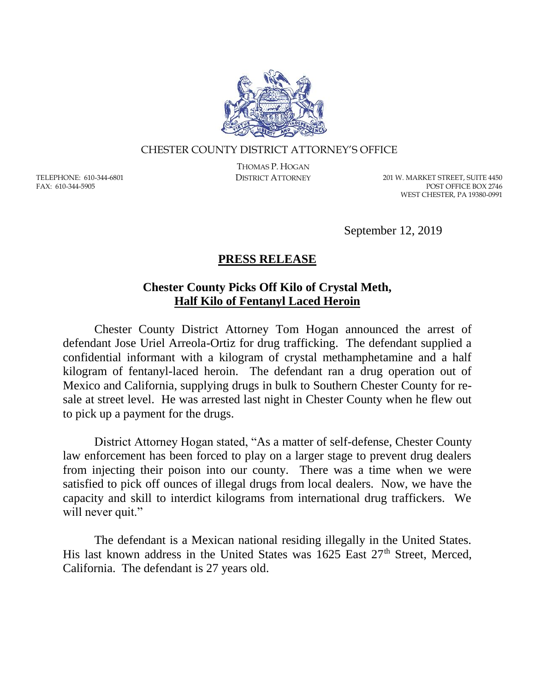

## CHESTER COUNTY DISTRICT ATTORNEY'S OFFICE

TELEPHONE: 610-344-6801 FAX: 610-344-5905

THOMAS P. HOGAN

DISTRICT ATTORNEY 201 W. MARKET STREET, SUITE 4450 POST OFFICE BOX 2746 WEST CHESTER, PA 19380-0991

September 12, 2019

## **PRESS RELEASE**

## **Chester County Picks Off Kilo of Crystal Meth, Half Kilo of Fentanyl Laced Heroin**

Chester County District Attorney Tom Hogan announced the arrest of defendant Jose Uriel Arreola-Ortiz for drug trafficking. The defendant supplied a confidential informant with a kilogram of crystal methamphetamine and a half kilogram of fentanyl-laced heroin. The defendant ran a drug operation out of Mexico and California, supplying drugs in bulk to Southern Chester County for resale at street level. He was arrested last night in Chester County when he flew out to pick up a payment for the drugs.

District Attorney Hogan stated, "As a matter of self-defense, Chester County law enforcement has been forced to play on a larger stage to prevent drug dealers from injecting their poison into our county. There was a time when we were satisfied to pick off ounces of illegal drugs from local dealers. Now, we have the capacity and skill to interdict kilograms from international drug traffickers. We will never quit."

The defendant is a Mexican national residing illegally in the United States. His last known address in the United States was 1625 East 27<sup>th</sup> Street, Merced, California. The defendant is 27 years old.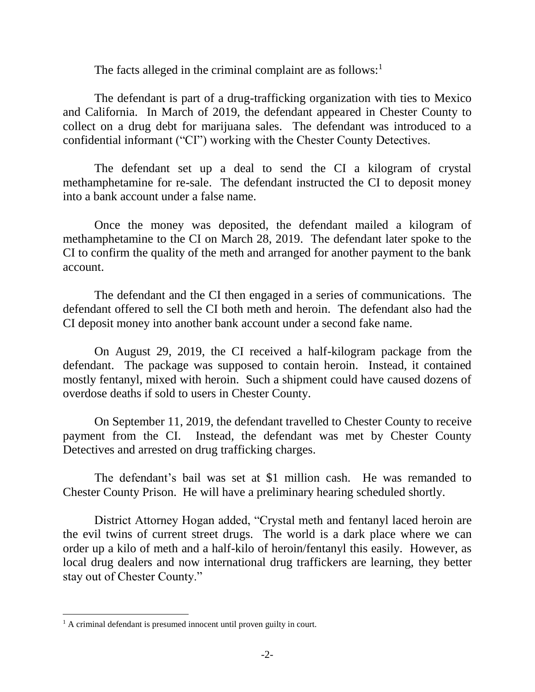The facts alleged in the criminal complaint are as follows: $<sup>1</sup>$ </sup>

The defendant is part of a drug-trafficking organization with ties to Mexico and California. In March of 2019, the defendant appeared in Chester County to collect on a drug debt for marijuana sales. The defendant was introduced to a confidential informant ("CI") working with the Chester County Detectives.

The defendant set up a deal to send the CI a kilogram of crystal methamphetamine for re-sale. The defendant instructed the CI to deposit money into a bank account under a false name.

Once the money was deposited, the defendant mailed a kilogram of methamphetamine to the CI on March 28, 2019. The defendant later spoke to the CI to confirm the quality of the meth and arranged for another payment to the bank account.

The defendant and the CI then engaged in a series of communications. The defendant offered to sell the CI both meth and heroin. The defendant also had the CI deposit money into another bank account under a second fake name.

On August 29, 2019, the CI received a half-kilogram package from the defendant. The package was supposed to contain heroin. Instead, it contained mostly fentanyl, mixed with heroin. Such a shipment could have caused dozens of overdose deaths if sold to users in Chester County.

On September 11, 2019, the defendant travelled to Chester County to receive payment from the CI. Instead, the defendant was met by Chester County Detectives and arrested on drug trafficking charges.

The defendant's bail was set at \$1 million cash. He was remanded to Chester County Prison. He will have a preliminary hearing scheduled shortly.

District Attorney Hogan added, "Crystal meth and fentanyl laced heroin are the evil twins of current street drugs. The world is a dark place where we can order up a kilo of meth and a half-kilo of heroin/fentanyl this easily. However, as local drug dealers and now international drug traffickers are learning, they better stay out of Chester County."

 $\overline{a}$ 

<sup>&</sup>lt;sup>1</sup> A criminal defendant is presumed innocent until proven guilty in court.